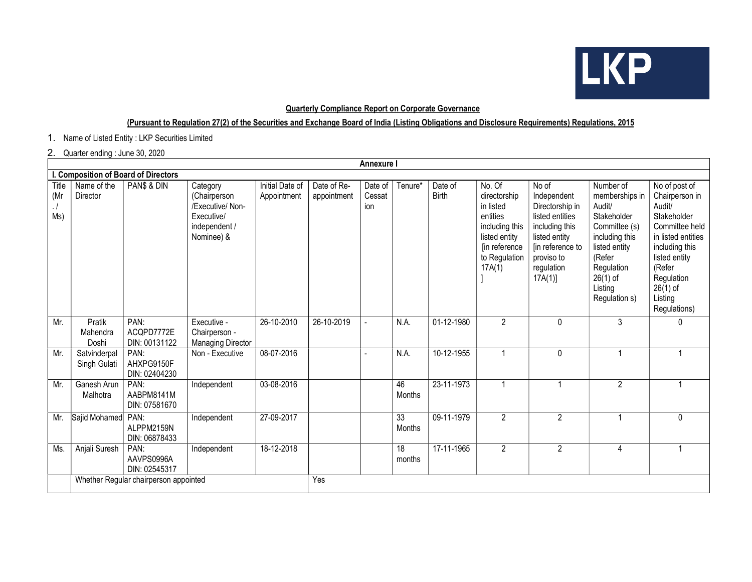

## Quarterly Compliance Report on Corporate Governance

## (Pursuant to Regulation 27(2) of the Securities and Exchange Board of India (Listing Obligations and Disclosure Requirements) Regulations, 2015

1. Name of Listed Entity : LKP Securities Limited

## 2. Quarter ending : June 30, 2020

| Annexure I                           |                                       |                                     |                                                                                           |                                |                            |                          |              |                         |                                                                                                                                |                                                                                                                                                         |                                                                                                                                                                            |                                                                                                                                                                                                      |
|--------------------------------------|---------------------------------------|-------------------------------------|-------------------------------------------------------------------------------------------|--------------------------------|----------------------------|--------------------------|--------------|-------------------------|--------------------------------------------------------------------------------------------------------------------------------|---------------------------------------------------------------------------------------------------------------------------------------------------------|----------------------------------------------------------------------------------------------------------------------------------------------------------------------------|------------------------------------------------------------------------------------------------------------------------------------------------------------------------------------------------------|
| I. Composition of Board of Directors |                                       |                                     |                                                                                           |                                |                            |                          |              |                         |                                                                                                                                |                                                                                                                                                         |                                                                                                                                                                            |                                                                                                                                                                                                      |
| Title<br>(Mr<br>$\cdot$ /<br>Ms)     | Name of the<br>Director               | PAN\$ & DIN                         | Category<br>(Chairperson<br>/Executive/ Non-<br>Executive/<br>independent /<br>Nominee) & | Initial Date of<br>Appointment | Date of Re-<br>appointment | Date of<br>Cessat<br>ion | Tenure*      | Date of<br><b>Birth</b> | No. Of<br>directorship<br>in listed<br>entities<br>including this<br>listed entity<br>[in reference<br>to Regulation<br>17A(1) | No of<br>Independent<br>Directorship in<br>listed entities<br>including this<br>listed entity<br>[in reference to<br>proviso to<br>regulation<br>17A(1) | Number of<br>memberships in<br>Audit/<br>Stakeholder<br>Committee (s)<br>including this<br>listed entity<br>(Refer<br>Regulation<br>$26(1)$ of<br>Listing<br>Regulation s) | No of post of<br>Chairperson in<br>Audit/<br>Stakeholder<br>Committee held<br>in listed entities<br>including this<br>listed entity<br>(Refer<br>Regulation<br>$26(1)$ of<br>Listing<br>Regulations) |
| Mr.                                  | Pratik<br>Mahendra<br>Doshi           | PAN:<br>ACQPD7772E<br>DIN: 00131122 | Executive -<br>Chairperson -<br><b>Managing Director</b>                                  | 26-10-2010                     | 26-10-2019                 |                          | N.A.         | 01-12-1980              | 2                                                                                                                              | $\mathbf{0}$                                                                                                                                            | 3                                                                                                                                                                          | 0                                                                                                                                                                                                    |
| Mr.                                  | Satvinderpal<br>Singh Gulati          | PAN:<br>AHXPG9150F<br>DIN: 02404230 | Non - Executive                                                                           | 08-07-2016                     |                            |                          | N.A.         | 10-12-1955              | 1                                                                                                                              | $\mathbf{0}$                                                                                                                                            |                                                                                                                                                                            |                                                                                                                                                                                                      |
| Mr.                                  | Ganesh Arun<br>Malhotra               | PAN:<br>AABPM8141M<br>DIN: 07581670 | Independent                                                                               | 03-08-2016                     |                            |                          | 46<br>Months | 23-11-1973              | $\overline{1}$                                                                                                                 | $\overline{1}$                                                                                                                                          | $\overline{2}$                                                                                                                                                             |                                                                                                                                                                                                      |
| Mr.                                  | Sajid Mohamed                         | PAN:<br>ALPPM2159N<br>DIN: 06878433 | Independent                                                                               | 27-09-2017                     |                            |                          | 33<br>Months | 09-11-1979              | $\overline{2}$                                                                                                                 | $\overline{2}$                                                                                                                                          |                                                                                                                                                                            | 0                                                                                                                                                                                                    |
| Ms.                                  | Anjali Suresh                         | PAN:<br>AAVPS0996A<br>DIN: 02545317 | Independent                                                                               | 18-12-2018                     |                            |                          | 18<br>months | 17-11-1965              | $\overline{2}$                                                                                                                 | $\overline{2}$                                                                                                                                          | 4                                                                                                                                                                          |                                                                                                                                                                                                      |
|                                      | Whether Regular chairperson appointed |                                     |                                                                                           |                                | Yes                        |                          |              |                         |                                                                                                                                |                                                                                                                                                         |                                                                                                                                                                            |                                                                                                                                                                                                      |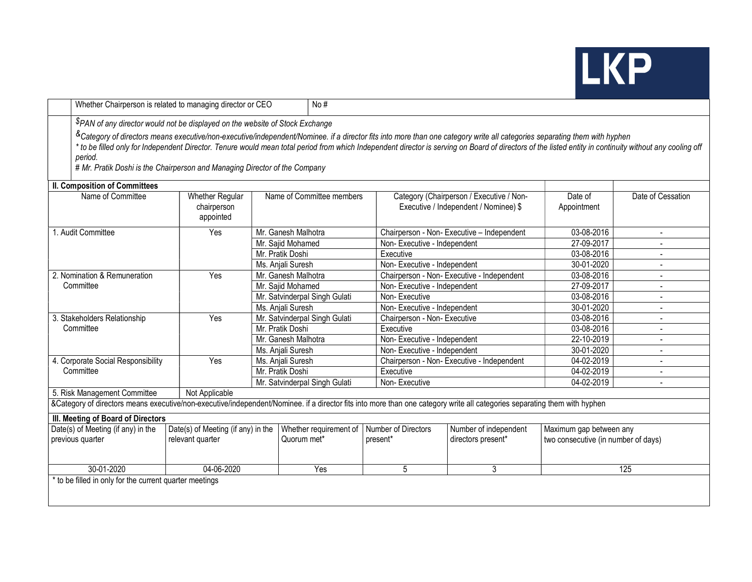## **LKP**

|                                                                                                                                                                                                                                                                                                                                                                                                                                                                                                                                                                 | Whether Chairperson is related to managing director or CEO<br>No $#$ |                               |                               |                              |                                                                                   |                                     |                         |  |  |  |  |
|-----------------------------------------------------------------------------------------------------------------------------------------------------------------------------------------------------------------------------------------------------------------------------------------------------------------------------------------------------------------------------------------------------------------------------------------------------------------------------------------------------------------------------------------------------------------|----------------------------------------------------------------------|-------------------------------|-------------------------------|------------------------------|-----------------------------------------------------------------------------------|-------------------------------------|-------------------------|--|--|--|--|
| \$PAN of any director would not be displayed on the website of Stock Exchange<br>&Category of directors means executive/non-executive/independent/Nominee. if a director fits into more than one category write all categories separating them with hyphen<br>* to be filled only for Independent Director. Tenure would mean total period from which Independent director is serving on Board of directors of the listed entity in continuity without any cooling off<br>period.<br># Mr. Pratik Doshi is the Chairperson and Managing Director of the Company |                                                                      |                               |                               |                              |                                                                                   |                                     |                         |  |  |  |  |
| <b>II. Composition of Committees</b>                                                                                                                                                                                                                                                                                                                                                                                                                                                                                                                            |                                                                      |                               |                               |                              |                                                                                   |                                     |                         |  |  |  |  |
| Name of Committee                                                                                                                                                                                                                                                                                                                                                                                                                                                                                                                                               | Whether Regular<br>chairperson<br>appointed                          | Name of Committee members     |                               |                              | Category (Chairperson / Executive / Non-<br>Executive / Independent / Nominee) \$ | Date of<br>Appointment              | Date of Cessation       |  |  |  |  |
| 1. Audit Committee                                                                                                                                                                                                                                                                                                                                                                                                                                                                                                                                              | Yes                                                                  |                               | Mr. Ganesh Malhotra           |                              | Chairperson - Non- Executive - Independent                                        | 03-08-2016                          | $\overline{a}$          |  |  |  |  |
|                                                                                                                                                                                                                                                                                                                                                                                                                                                                                                                                                                 |                                                                      |                               | Mr. Sajid Mohamed             | Non-Executive - Independent  |                                                                                   | 27-09-2017                          |                         |  |  |  |  |
|                                                                                                                                                                                                                                                                                                                                                                                                                                                                                                                                                                 |                                                                      |                               | Mr. Pratik Doshi              | Executive                    |                                                                                   | 03-08-2016                          |                         |  |  |  |  |
|                                                                                                                                                                                                                                                                                                                                                                                                                                                                                                                                                                 |                                                                      |                               | Ms. Anjali Suresh             | Non-Executive - Independent  |                                                                                   | 30-01-2020                          |                         |  |  |  |  |
| 2. Nomination & Remuneration                                                                                                                                                                                                                                                                                                                                                                                                                                                                                                                                    | Yes                                                                  |                               | Mr. Ganesh Malhotra           |                              | Chairperson - Non- Executive - Independent                                        | 03-08-2016                          |                         |  |  |  |  |
| Committee                                                                                                                                                                                                                                                                                                                                                                                                                                                                                                                                                       |                                                                      | Mr. Sajid Mohamed             |                               | Non-Executive - Independent  |                                                                                   | 27-09-2017                          |                         |  |  |  |  |
|                                                                                                                                                                                                                                                                                                                                                                                                                                                                                                                                                                 |                                                                      | Mr. Satvinderpal Singh Gulati |                               | Non-Executive                |                                                                                   | 03-08-2016                          |                         |  |  |  |  |
|                                                                                                                                                                                                                                                                                                                                                                                                                                                                                                                                                                 |                                                                      |                               | Ms. Anjali Suresh             | Non-Executive - Independent  |                                                                                   | 30-01-2020                          |                         |  |  |  |  |
| 3. Stakeholders Relationship                                                                                                                                                                                                                                                                                                                                                                                                                                                                                                                                    | Yes                                                                  |                               | Mr. Satvinderpal Singh Gulati | Chairperson - Non- Executive |                                                                                   | 03-08-2016                          |                         |  |  |  |  |
| Committee                                                                                                                                                                                                                                                                                                                                                                                                                                                                                                                                                       |                                                                      | Mr. Pratik Doshi              |                               | Executive                    |                                                                                   | 03-08-2016                          |                         |  |  |  |  |
|                                                                                                                                                                                                                                                                                                                                                                                                                                                                                                                                                                 |                                                                      | Mr. Ganesh Malhotra           |                               | Non-Executive - Independent  |                                                                                   | 22-10-2019                          | $\overline{a}$          |  |  |  |  |
|                                                                                                                                                                                                                                                                                                                                                                                                                                                                                                                                                                 |                                                                      | Ms. Anjali Suresh             |                               | Non-Executive - Independent  |                                                                                   | 30-01-2020                          |                         |  |  |  |  |
| 4. Corporate Social Responsibility                                                                                                                                                                                                                                                                                                                                                                                                                                                                                                                              | Yes                                                                  | Ms. Anjali Suresh             |                               |                              | Chairperson - Non- Executive - Independent                                        | 04-02-2019                          |                         |  |  |  |  |
| Committee                                                                                                                                                                                                                                                                                                                                                                                                                                                                                                                                                       |                                                                      | Mr. Pratik Doshi              |                               | Executive                    |                                                                                   | 04-02-2019                          |                         |  |  |  |  |
|                                                                                                                                                                                                                                                                                                                                                                                                                                                                                                                                                                 |                                                                      |                               | Mr. Satvinderpal Singh Gulati | Non-Executive                |                                                                                   | 04-02-2019                          |                         |  |  |  |  |
| 5. Risk Management Committee                                                                                                                                                                                                                                                                                                                                                                                                                                                                                                                                    | Not Applicable                                                       |                               |                               |                              |                                                                                   |                                     |                         |  |  |  |  |
| &Category of directors means executive/non-executive/independent/Nominee. if a director fits into more than one category write all categories separating them with hyphen                                                                                                                                                                                                                                                                                                                                                                                       |                                                                      |                               |                               |                              |                                                                                   |                                     |                         |  |  |  |  |
| III. Meeting of Board of Directors                                                                                                                                                                                                                                                                                                                                                                                                                                                                                                                              |                                                                      |                               |                               |                              |                                                                                   |                                     |                         |  |  |  |  |
| Date(s) of Meeting (if any) in the<br>Date(s) of Meeting (if any) in the                                                                                                                                                                                                                                                                                                                                                                                                                                                                                        |                                                                      |                               | Whether requirement of        | Number of Directors          | Number of independent                                                             |                                     | Maximum gap between any |  |  |  |  |
| previous quarter                                                                                                                                                                                                                                                                                                                                                                                                                                                                                                                                                | relevant quarter                                                     |                               | Quorum met*                   | present*                     | directors present*                                                                | two consecutive (in number of days) |                         |  |  |  |  |
|                                                                                                                                                                                                                                                                                                                                                                                                                                                                                                                                                                 |                                                                      |                               |                               |                              |                                                                                   |                                     |                         |  |  |  |  |
| 30-01-2020                                                                                                                                                                                                                                                                                                                                                                                                                                                                                                                                                      | 04-06-2020                                                           |                               | Yes                           | 5                            | 3<br>125                                                                          |                                     |                         |  |  |  |  |
| * to be filled in only for the current quarter meetings                                                                                                                                                                                                                                                                                                                                                                                                                                                                                                         |                                                                      |                               |                               |                              |                                                                                   |                                     |                         |  |  |  |  |